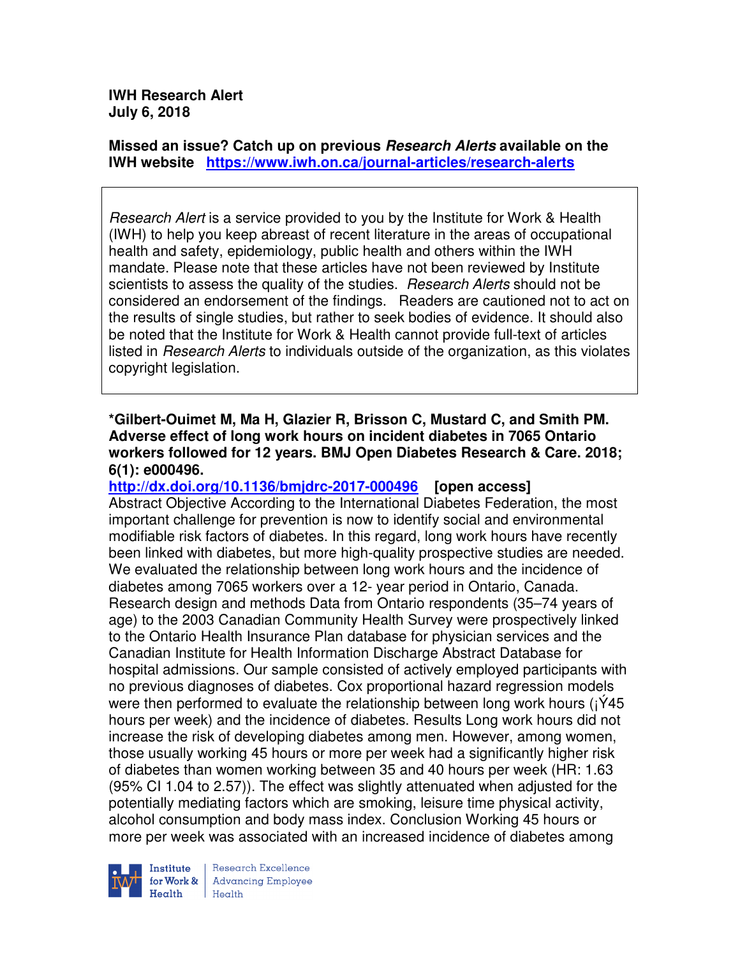**IWH Research Alert July 6, 2018** 

**Missed an issue? Catch up on previous Research Alerts available on the IWH website https://www.iwh.on.ca/journal-articles/research-alerts** 

Research Alert is a service provided to you by the Institute for Work & Health (IWH) to help you keep abreast of recent literature in the areas of occupational health and safety, epidemiology, public health and others within the IWH mandate. Please note that these articles have not been reviewed by Institute scientists to assess the quality of the studies. *Research Alerts* should not be considered an endorsement of the findings. Readers are cautioned not to act on the results of single studies, but rather to seek bodies of evidence. It should also be noted that the Institute for Work & Health cannot provide full-text of articles listed in Research Alerts to individuals outside of the organization, as this violates copyright legislation.

**\*Gilbert-Ouimet M, Ma H, Glazier R, Brisson C, Mustard C, and Smith PM. Adverse effect of long work hours on incident diabetes in 7065 Ontario workers followed for 12 years. BMJ Open Diabetes Research & Care. 2018; 6(1): e000496.** 

**http://dx.doi.org/10.1136/bmjdrc-2017-000496 [open access]**  Abstract Objective According to the International Diabetes Federation, the most important challenge for prevention is now to identify social and environmental modifiable risk factors of diabetes. In this regard, long work hours have recently been linked with diabetes, but more high-quality prospective studies are needed. We evaluated the relationship between long work hours and the incidence of diabetes among 7065 workers over a 12- year period in Ontario, Canada. Research design and methods Data from Ontario respondents (35–74 years of age) to the 2003 Canadian Community Health Survey were prospectively linked to the Ontario Health Insurance Plan database for physician services and the Canadian Institute for Health Information Discharge Abstract Database for hospital admissions. Our sample consisted of actively employed participants with no previous diagnoses of diabetes. Cox proportional hazard regression models were then performed to evaluate the relationship between long work hours ( $\dot{Y}$ 45 hours per week) and the incidence of diabetes. Results Long work hours did not increase the risk of developing diabetes among men. However, among women, those usually working 45 hours or more per week had a significantly higher risk of diabetes than women working between 35 and 40 hours per week (HR: 1.63 (95% CI 1.04 to 2.57)). The effect was slightly attenuated when adjusted for the potentially mediating factors which are smoking, leisure time physical activity, alcohol consumption and body mass index. Conclusion Working 45 hours or more per week was associated with an increased incidence of diabetes among



Research Excellence **Advancing Employee** Health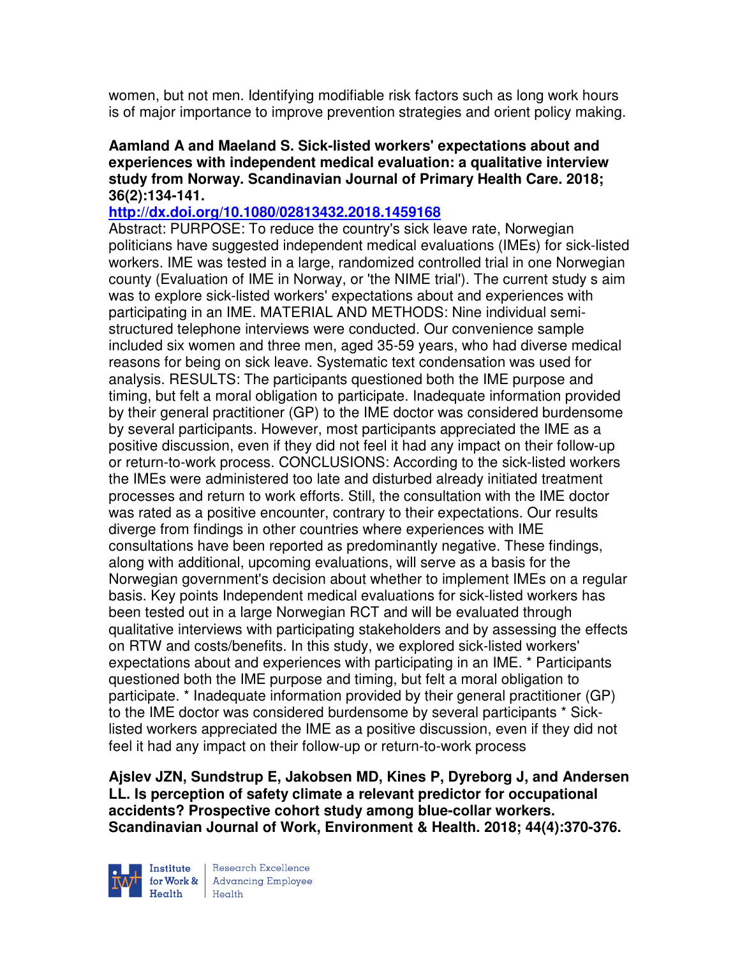women, but not men. Identifying modifiable risk factors such as long work hours is of major importance to improve prevention strategies and orient policy making.

#### **Aamland A and Maeland S. Sick-listed workers' expectations about and experiences with independent medical evaluation: a qualitative interview study from Norway. Scandinavian Journal of Primary Health Care. 2018; 36(2):134-141.**

### **http://dx.doi.org/10.1080/02813432.2018.1459168**

Abstract: PURPOSE: To reduce the country's sick leave rate, Norwegian politicians have suggested independent medical evaluations (IMEs) for sick-listed workers. IME was tested in a large, randomized controlled trial in one Norwegian county (Evaluation of IME in Norway, or 'the NIME trial'). The current study s aim was to explore sick-listed workers' expectations about and experiences with participating in an IME. MATERIAL AND METHODS: Nine individual semistructured telephone interviews were conducted. Our convenience sample included six women and three men, aged 35-59 years, who had diverse medical reasons for being on sick leave. Systematic text condensation was used for analysis. RESULTS: The participants questioned both the IME purpose and timing, but felt a moral obligation to participate. Inadequate information provided by their general practitioner (GP) to the IME doctor was considered burdensome by several participants. However, most participants appreciated the IME as a positive discussion, even if they did not feel it had any impact on their follow-up or return-to-work process. CONCLUSIONS: According to the sick-listed workers the IMEs were administered too late and disturbed already initiated treatment processes and return to work efforts. Still, the consultation with the IME doctor was rated as a positive encounter, contrary to their expectations. Our results diverge from findings in other countries where experiences with IME consultations have been reported as predominantly negative. These findings, along with additional, upcoming evaluations, will serve as a basis for the Norwegian government's decision about whether to implement IMEs on a regular basis. Key points Independent medical evaluations for sick-listed workers has been tested out in a large Norwegian RCT and will be evaluated through qualitative interviews with participating stakeholders and by assessing the effects on RTW and costs/benefits. In this study, we explored sick-listed workers' expectations about and experiences with participating in an IME. \* Participants questioned both the IME purpose and timing, but felt a moral obligation to participate. \* Inadequate information provided by their general practitioner (GP) to the IME doctor was considered burdensome by several participants \* Sicklisted workers appreciated the IME as a positive discussion, even if they did not feel it had any impact on their follow-up or return-to-work process

**Ajslev JZN, Sundstrup E, Jakobsen MD, Kines P, Dyreborg J, and Andersen LL. Is perception of safety climate a relevant predictor for occupational accidents? Prospective cohort study among blue-collar workers. Scandinavian Journal of Work, Environment & Health. 2018; 44(4):370-376.** 



Research Excellence for Work & | Advancing Employee Health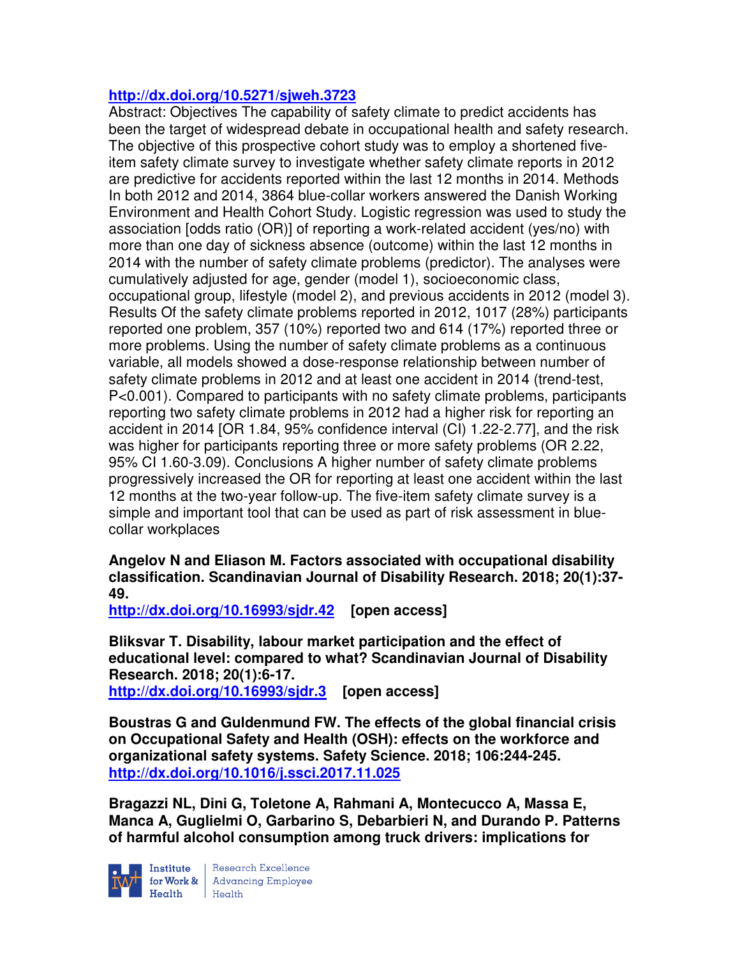# **http://dx.doi.org/10.5271/sjweh.3723**

Abstract: Objectives The capability of safety climate to predict accidents has been the target of widespread debate in occupational health and safety research. The objective of this prospective cohort study was to employ a shortened fiveitem safety climate survey to investigate whether safety climate reports in 2012 are predictive for accidents reported within the last 12 months in 2014. Methods In both 2012 and 2014, 3864 blue-collar workers answered the Danish Working Environment and Health Cohort Study. Logistic regression was used to study the association [odds ratio (OR)] of reporting a work-related accident (yes/no) with more than one day of sickness absence (outcome) within the last 12 months in 2014 with the number of safety climate problems (predictor). The analyses were cumulatively adjusted for age, gender (model 1), socioeconomic class, occupational group, lifestyle (model 2), and previous accidents in 2012 (model 3). Results Of the safety climate problems reported in 2012, 1017 (28%) participants reported one problem, 357 (10%) reported two and 614 (17%) reported three or more problems. Using the number of safety climate problems as a continuous variable, all models showed a dose-response relationship between number of safety climate problems in 2012 and at least one accident in 2014 (trend-test, P<0.001). Compared to participants with no safety climate problems, participants reporting two safety climate problems in 2012 had a higher risk for reporting an accident in 2014 [OR 1.84, 95% confidence interval (CI) 1.22-2.77], and the risk was higher for participants reporting three or more safety problems (OR 2.22, 95% CI 1.60-3.09). Conclusions A higher number of safety climate problems progressively increased the OR for reporting at least one accident within the last 12 months at the two-year follow-up. The five-item safety climate survey is a simple and important tool that can be used as part of risk assessment in bluecollar workplaces

**Angelov N and Eliason M. Factors associated with occupational disability classification. Scandinavian Journal of Disability Research. 2018; 20(1):37- 49.** 

**http://dx.doi.org/10.16993/sjdr.42 [open access]** 

**Bliksvar T. Disability, labour market participation and the effect of educational level: compared to what? Scandinavian Journal of Disability Research. 2018; 20(1):6-17. http://dx.doi.org/10.16993/sjdr.3 [open access]** 

**Boustras G and Guldenmund FW. The effects of the global financial crisis on Occupational Safety and Health (OSH): effects on the workforce and organizational safety systems. Safety Science. 2018; 106:244-245. http://dx.doi.org/10.1016/j.ssci.2017.11.025** 

**Bragazzi NL, Dini G, Toletone A, Rahmani A, Montecucco A, Massa E, Manca A, Guglielmi O, Garbarino S, Debarbieri N, and Durando P. Patterns of harmful alcohol consumption among truck drivers: implications for** 

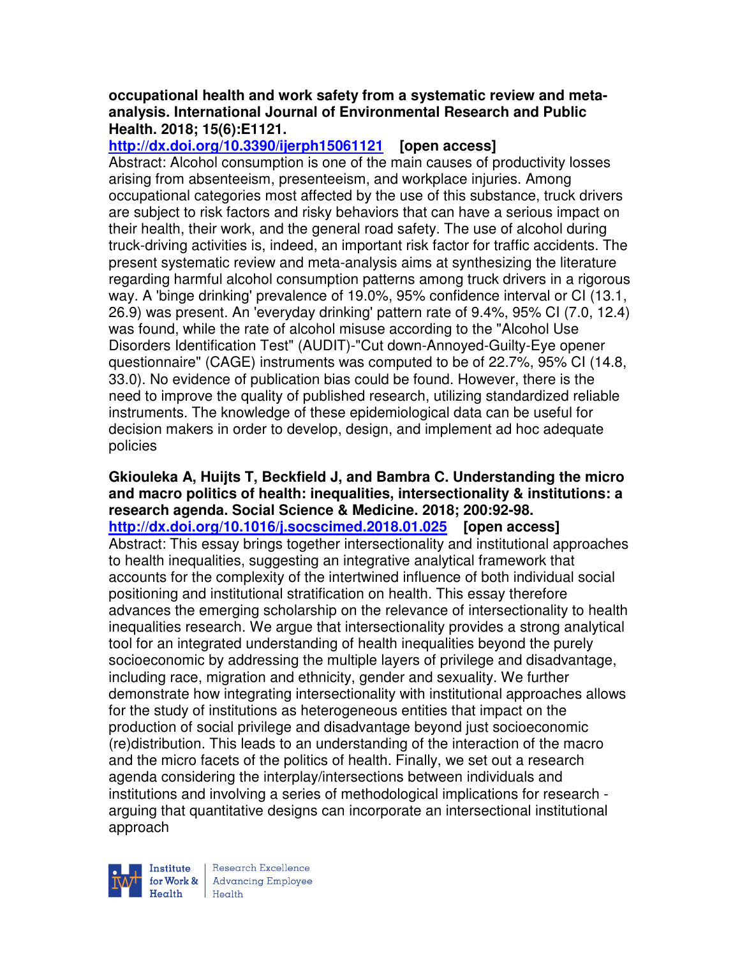### **occupational health and work safety from a systematic review and metaanalysis. International Journal of Environmental Research and Public Health. 2018; 15(6):E1121.**

**http://dx.doi.org/10.3390/ijerph15061121 [open access]** Abstract: Alcohol consumption is one of the main causes of productivity losses arising from absenteeism, presenteeism, and workplace injuries. Among occupational categories most affected by the use of this substance, truck drivers are subject to risk factors and risky behaviors that can have a serious impact on their health, their work, and the general road safety. The use of alcohol during truck-driving activities is, indeed, an important risk factor for traffic accidents. The present systematic review and meta-analysis aims at synthesizing the literature regarding harmful alcohol consumption patterns among truck drivers in a rigorous way. A 'binge drinking' prevalence of 19.0%, 95% confidence interval or CI (13.1, 26.9) was present. An 'everyday drinking' pattern rate of 9.4%, 95% CI (7.0, 12.4) was found, while the rate of alcohol misuse according to the "Alcohol Use Disorders Identification Test" (AUDIT)-"Cut down-Annoyed-Guilty-Eye opener questionnaire" (CAGE) instruments was computed to be of 22.7%, 95% CI (14.8, 33.0). No evidence of publication bias could be found. However, there is the need to improve the quality of published research, utilizing standardized reliable instruments. The knowledge of these epidemiological data can be useful for decision makers in order to develop, design, and implement ad hoc adequate policies

**Gkiouleka A, Huijts T, Beckfield J, and Bambra C. Understanding the micro and macro politics of health: inequalities, intersectionality & institutions: a research agenda. Social Science & Medicine. 2018; 200:92-98. http://dx.doi.org/10.1016/j.socscimed.2018.01.025 [open access]** Abstract: This essay brings together intersectionality and institutional approaches to health inequalities, suggesting an integrative analytical framework that accounts for the complexity of the intertwined influence of both individual social positioning and institutional stratification on health. This essay therefore advances the emerging scholarship on the relevance of intersectionality to health inequalities research. We argue that intersectionality provides a strong analytical tool for an integrated understanding of health inequalities beyond the purely socioeconomic by addressing the multiple layers of privilege and disadvantage, including race, migration and ethnicity, gender and sexuality. We further demonstrate how integrating intersectionality with institutional approaches allows for the study of institutions as heterogeneous entities that impact on the production of social privilege and disadvantage beyond just socioeconomic (re)distribution. This leads to an understanding of the interaction of the macro and the micro facets of the politics of health. Finally, we set out a research agenda considering the interplay/intersections between individuals and institutions and involving a series of methodological implications for research arguing that quantitative designs can incorporate an intersectional institutional approach



Research Excellence for Work & | Advancing Employee Health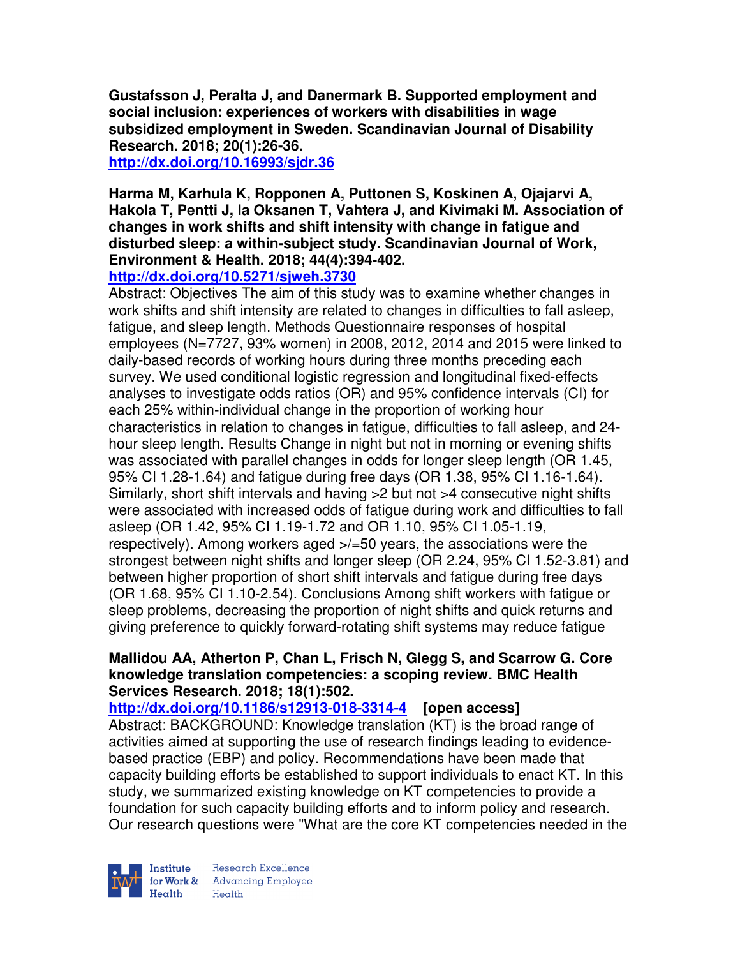**Gustafsson J, Peralta J, and Danermark B. Supported employment and social inclusion: experiences of workers with disabilities in wage subsidized employment in Sweden. Scandinavian Journal of Disability Research. 2018; 20(1):26-36.** 

**http://dx.doi.org/10.16993/sjdr.36** 

**Harma M, Karhula K, Ropponen A, Puttonen S, Koskinen A, Ojajarvi A, Hakola T, Pentti J, la Oksanen T, Vahtera J, and Kivimaki M. Association of changes in work shifts and shift intensity with change in fatigue and disturbed sleep: a within-subject study. Scandinavian Journal of Work, Environment & Health. 2018; 44(4):394-402.** 

**http://dx.doi.org/10.5271/sjweh.3730** 

Abstract: Objectives The aim of this study was to examine whether changes in work shifts and shift intensity are related to changes in difficulties to fall asleep, fatigue, and sleep length. Methods Questionnaire responses of hospital employees (N=7727, 93% women) in 2008, 2012, 2014 and 2015 were linked to daily-based records of working hours during three months preceding each survey. We used conditional logistic regression and longitudinal fixed-effects analyses to investigate odds ratios (OR) and 95% confidence intervals (CI) for each 25% within-individual change in the proportion of working hour characteristics in relation to changes in fatigue, difficulties to fall asleep, and 24 hour sleep length. Results Change in night but not in morning or evening shifts was associated with parallel changes in odds for longer sleep length (OR 1.45, 95% CI 1.28-1.64) and fatigue during free days (OR 1.38, 95% CI 1.16-1.64). Similarly, short shift intervals and having >2 but not >4 consecutive night shifts were associated with increased odds of fatigue during work and difficulties to fall asleep (OR 1.42, 95% CI 1.19-1.72 and OR 1.10, 95% CI 1.05-1.19, respectively). Among workers aged >/=50 years, the associations were the strongest between night shifts and longer sleep (OR 2.24, 95% CI 1.52-3.81) and between higher proportion of short shift intervals and fatigue during free days (OR 1.68, 95% CI 1.10-2.54). Conclusions Among shift workers with fatigue or sleep problems, decreasing the proportion of night shifts and quick returns and giving preference to quickly forward-rotating shift systems may reduce fatigue

### **Mallidou AA, Atherton P, Chan L, Frisch N, Glegg S, and Scarrow G. Core knowledge translation competencies: a scoping review. BMC Health Services Research. 2018; 18(1):502.**

**http://dx.doi.org/10.1186/s12913-018-3314-4 [open access]**

Abstract: BACKGROUND: Knowledge translation (KT) is the broad range of activities aimed at supporting the use of research findings leading to evidencebased practice (EBP) and policy. Recommendations have been made that capacity building efforts be established to support individuals to enact KT. In this study, we summarized existing knowledge on KT competencies to provide a foundation for such capacity building efforts and to inform policy and research. Our research questions were "What are the core KT competencies needed in the



Research Excellence for Work & | Advancing Employee Health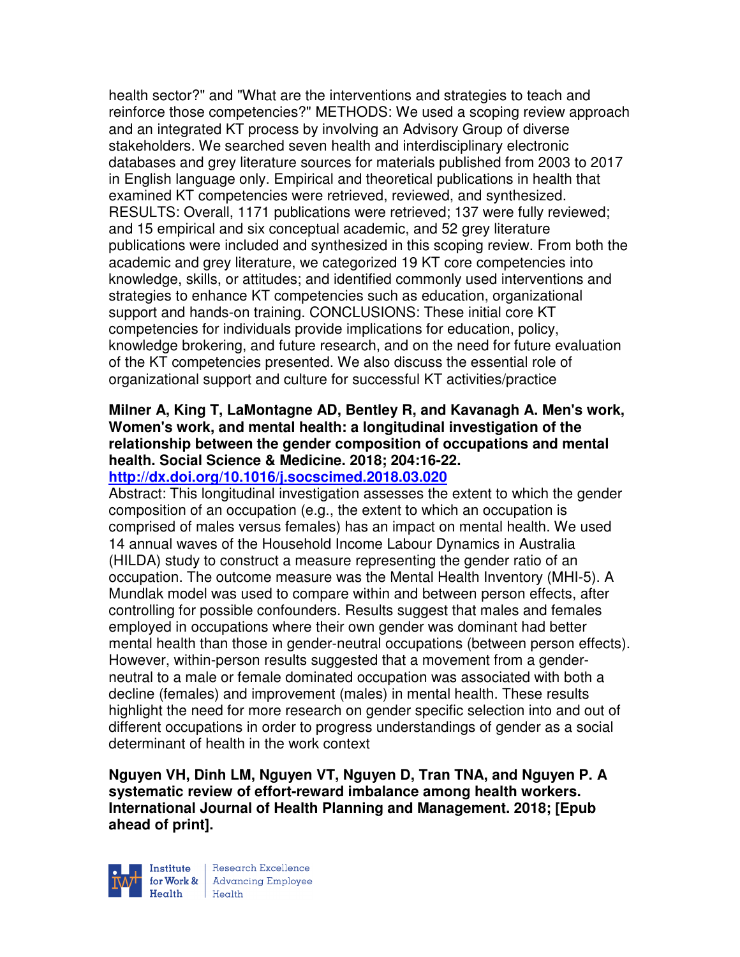health sector?" and "What are the interventions and strategies to teach and reinforce those competencies?" METHODS: We used a scoping review approach and an integrated KT process by involving an Advisory Group of diverse stakeholders. We searched seven health and interdisciplinary electronic databases and grey literature sources for materials published from 2003 to 2017 in English language only. Empirical and theoretical publications in health that examined KT competencies were retrieved, reviewed, and synthesized. RESULTS: Overall, 1171 publications were retrieved; 137 were fully reviewed; and 15 empirical and six conceptual academic, and 52 grey literature publications were included and synthesized in this scoping review. From both the academic and grey literature, we categorized 19 KT core competencies into knowledge, skills, or attitudes; and identified commonly used interventions and strategies to enhance KT competencies such as education, organizational support and hands-on training. CONCLUSIONS: These initial core KT competencies for individuals provide implications for education, policy, knowledge brokering, and future research, and on the need for future evaluation of the KT competencies presented. We also discuss the essential role of organizational support and culture for successful KT activities/practice

# **Milner A, King T, LaMontagne AD, Bentley R, and Kavanagh A. Men's work, Women's work, and mental health: a longitudinal investigation of the relationship between the gender composition of occupations and mental health. Social Science & Medicine. 2018; 204:16-22.**

#### **http://dx.doi.org/10.1016/j.socscimed.2018.03.020**

Abstract: This longitudinal investigation assesses the extent to which the gender composition of an occupation (e.g., the extent to which an occupation is comprised of males versus females) has an impact on mental health. We used 14 annual waves of the Household Income Labour Dynamics in Australia (HILDA) study to construct a measure representing the gender ratio of an occupation. The outcome measure was the Mental Health Inventory (MHI-5). A Mundlak model was used to compare within and between person effects, after controlling for possible confounders. Results suggest that males and females employed in occupations where their own gender was dominant had better mental health than those in gender-neutral occupations (between person effects). However, within-person results suggested that a movement from a genderneutral to a male or female dominated occupation was associated with both a decline (females) and improvement (males) in mental health. These results highlight the need for more research on gender specific selection into and out of different occupations in order to progress understandings of gender as a social determinant of health in the work context

**Nguyen VH, Dinh LM, Nguyen VT, Nguyen D, Tran TNA, and Nguyen P. A systematic review of effort-reward imbalance among health workers. International Journal of Health Planning and Management. 2018; [Epub ahead of print].** 



Research Excellence **Institute** Research Excellence<br> **For Work &**<br>
Morth Harlth Harlth Health Health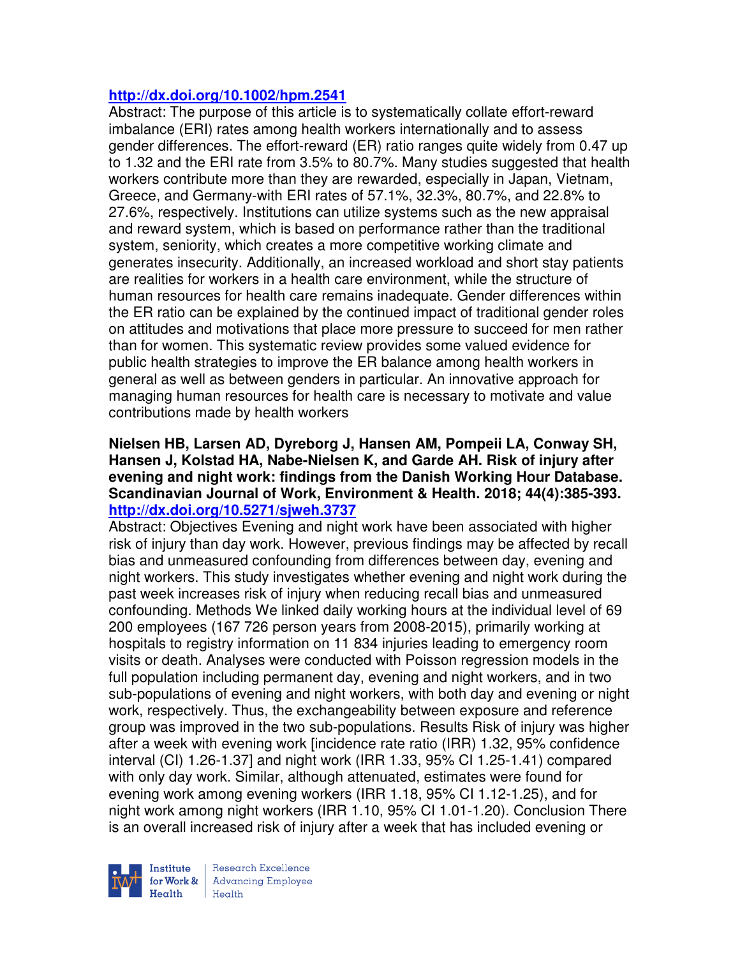### **http://dx.doi.org/10.1002/hpm.2541**

Abstract: The purpose of this article is to systematically collate effort-reward imbalance (ERI) rates among health workers internationally and to assess gender differences. The effort-reward (ER) ratio ranges quite widely from 0.47 up to 1.32 and the ERI rate from 3.5% to 80.7%. Many studies suggested that health workers contribute more than they are rewarded, especially in Japan, Vietnam, Greece, and Germany-with ERI rates of 57.1%, 32.3%, 80.7%, and 22.8% to 27.6%, respectively. Institutions can utilize systems such as the new appraisal and reward system, which is based on performance rather than the traditional system, seniority, which creates a more competitive working climate and generates insecurity. Additionally, an increased workload and short stay patients are realities for workers in a health care environment, while the structure of human resources for health care remains inadequate. Gender differences within the ER ratio can be explained by the continued impact of traditional gender roles on attitudes and motivations that place more pressure to succeed for men rather than for women. This systematic review provides some valued evidence for public health strategies to improve the ER balance among health workers in general as well as between genders in particular. An innovative approach for managing human resources for health care is necessary to motivate and value contributions made by health workers

### **Nielsen HB, Larsen AD, Dyreborg J, Hansen AM, Pompeii LA, Conway SH, Hansen J, Kolstad HA, Nabe-Nielsen K, and Garde AH. Risk of injury after evening and night work: findings from the Danish Working Hour Database. Scandinavian Journal of Work, Environment & Health. 2018; 44(4):385-393. http://dx.doi.org/10.5271/sjweh.3737**

Abstract: Objectives Evening and night work have been associated with higher risk of injury than day work. However, previous findings may be affected by recall bias and unmeasured confounding from differences between day, evening and night workers. This study investigates whether evening and night work during the past week increases risk of injury when reducing recall bias and unmeasured confounding. Methods We linked daily working hours at the individual level of 69 200 employees (167 726 person years from 2008-2015), primarily working at hospitals to registry information on 11 834 injuries leading to emergency room visits or death. Analyses were conducted with Poisson regression models in the full population including permanent day, evening and night workers, and in two sub-populations of evening and night workers, with both day and evening or night work, respectively. Thus, the exchangeability between exposure and reference group was improved in the two sub-populations. Results Risk of injury was higher after a week with evening work [incidence rate ratio (IRR) 1.32, 95% confidence interval (CI) 1.26-1.37] and night work (IRR 1.33, 95% CI 1.25-1.41) compared with only day work. Similar, although attenuated, estimates were found for evening work among evening workers (IRR 1.18, 95% CI 1.12-1.25), and for night work among night workers (IRR 1.10, 95% CI 1.01-1.20). Conclusion There is an overall increased risk of injury after a week that has included evening or